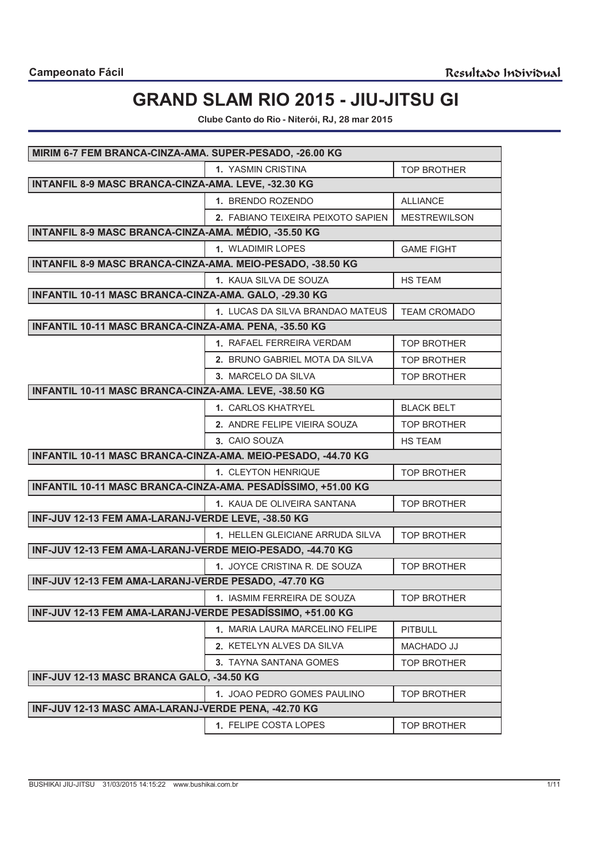# **GRAND SLAM RIO 2015 - JIU-JITSU GI**

**Clube Canto do Rio - Niterói, RJ, 28 mar 2015**

| MIRIM 6-7 FEM BRANCA-CINZA-AMA. SUPER-PESADO, -26.00 KG      |                                    |                     |
|--------------------------------------------------------------|------------------------------------|---------------------|
|                                                              | 1. YASMIN CRISTINA                 | <b>TOP BROTHER</b>  |
| INTANFIL 8-9 MASC BRANCA-CINZA-AMA. LEVE, -32.30 KG          |                                    |                     |
|                                                              | 1. BRENDO ROZENDO                  | <b>ALLIANCE</b>     |
|                                                              | 2. FABIANO TEIXEIRA PEIXOTO SAPIEN | <b>MESTREWILSON</b> |
| INTANFIL 8-9 MASC BRANCA-CINZA-AMA. MÉDIO, -35.50 KG         |                                    |                     |
|                                                              | 1. WLADIMIR LOPES                  | <b>GAME FIGHT</b>   |
| INTANFIL 8-9 MASC BRANCA-CINZA-AMA. MEIO-PESADO, -38.50 KG   |                                    |                     |
|                                                              | 1. KAUA SILVA DE SOUZA             | <b>HS TEAM</b>      |
| INFANTIL 10-11 MASC BRANCA-CINZA-AMA. GALO, -29.30 KG        |                                    |                     |
|                                                              | 1. LUCAS DA SILVA BRANDAO MATEUS   | <b>TEAM CROMADO</b> |
| INFANTIL 10-11 MASC BRANCA-CINZA-AMA. PENA, -35.50 KG        |                                    |                     |
|                                                              | 1. RAFAEL FERREIRA VERDAM          | <b>TOP BROTHER</b>  |
|                                                              | 2. BRUNO GABRIEL MOTA DA SILVA     | <b>TOP BROTHER</b>  |
|                                                              | 3. MARCELO DA SILVA                | <b>TOP BROTHER</b>  |
| INFANTIL 10-11 MASC BRANCA-CINZA-AMA. LEVE, -38.50 KG        |                                    |                     |
|                                                              | 1. CARLOS KHATRYEL                 | <b>BLACK BELT</b>   |
|                                                              | 2. ANDRE FELIPE VIEIRA SOUZA       | <b>TOP BROTHER</b>  |
|                                                              | 3. CAIO SOUZA                      | <b>HS TEAM</b>      |
| INFANTIL 10-11 MASC BRANCA-CINZA-AMA. MEIO-PESADO, -44.70 KG |                                    |                     |
|                                                              | 1. CLEYTON HENRIQUE                | <b>TOP BROTHER</b>  |
| INFANTIL 10-11 MASC BRANCA-CINZA-AMA. PESADÍSSIMO, +51.00 KG |                                    |                     |
|                                                              | 1. KAUA DE OLIVEIRA SANTANA        | <b>TOP BROTHER</b>  |
| INF-JUV 12-13 FEM AMA-LARANJ-VERDE LEVE, -38.50 KG           |                                    |                     |
|                                                              | 1. HELLEN GLEICIANE ARRUDA SILVA   | <b>TOP BROTHER</b>  |
| INF-JUV 12-13 FEM AMA-LARANJ-VERDE MEIO-PESADO, -44.70 KG    |                                    |                     |
|                                                              | 1. JOYCE CRISTINA R. DE SOUZA      | <b>TOP BROTHER</b>  |
| INF-JUV 12-13 FEM AMA-LARANJ-VERDE PESADO, -47.70 KG         |                                    |                     |
|                                                              | 1. IASMIM FERREIRA DE SOUZA        | <b>TOP BROTHER</b>  |
| INF-JUV 12-13 FEM AMA-LARANJ-VERDE PESADÍSSIMO, +51.00 KG    |                                    |                     |
|                                                              | 1. MARIA LAURA MARCELINO FELIPE    | <b>PITBULL</b>      |
|                                                              | 2. KETELYN ALVES DA SILVA          | MACHADO JJ          |
|                                                              | 3. TAYNA SANTANA GOMES             | <b>TOP BROTHER</b>  |
| INF-JUV 12-13 MASC BRANCA GALO, -34.50 KG                    |                                    |                     |
|                                                              | 1. JOAO PEDRO GOMES PAULINO        | <b>TOP BROTHER</b>  |
| INF-JUV 12-13 MASC AMA-LARANJ-VERDE PENA, -42.70 KG          |                                    |                     |
|                                                              | 1. FELIPE COSTA LOPES              | <b>TOP BROTHER</b>  |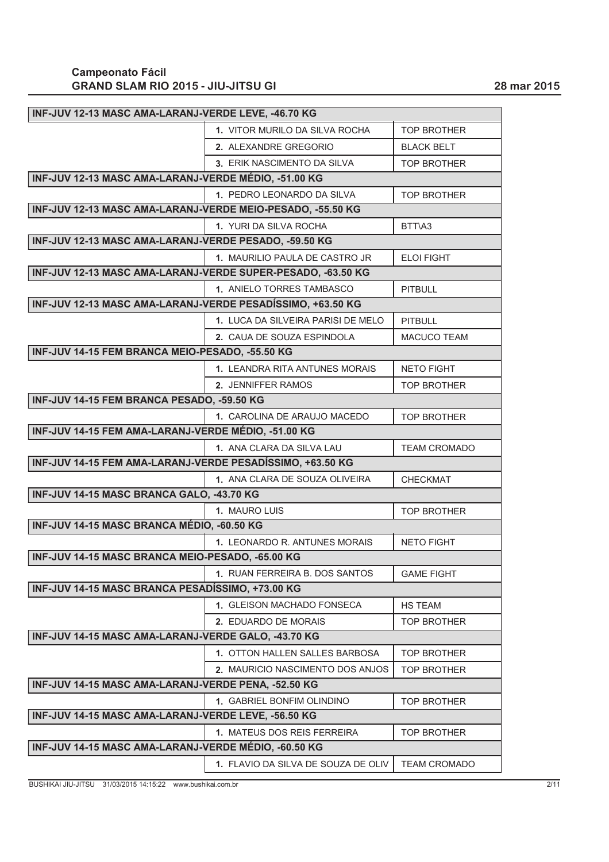| INF-JUV 12-13 MASC AMA-LARANJ-VERDE LEVE, -46.70 KG         |                                    |                     |
|-------------------------------------------------------------|------------------------------------|---------------------|
|                                                             | 1. VITOR MURILO DA SILVA ROCHA     | <b>TOP BROTHER</b>  |
|                                                             | 2. ALEXANDRE GREGORIO              | <b>BLACK BELT</b>   |
|                                                             | 3. ERIK NASCIMENTO DA SILVA        | <b>TOP BROTHER</b>  |
| INF-JUV 12-13 MASC AMA-LARANJ-VERDE MÉDIO, -51.00 KG        |                                    |                     |
|                                                             | 1. PEDRO LEONARDO DA SILVA         | <b>TOP BROTHER</b>  |
| INF-JUV 12-13 MASC AMA-LARANJ-VERDE MEIO-PESADO, -55.50 KG  |                                    |                     |
|                                                             | 1. YURI DA SILVA ROCHA             | BTT\A3              |
| INF-JUV 12-13 MASC AMA-LARANJ-VERDE PESADO, -59.50 KG       |                                    |                     |
|                                                             | 1. MAURILIO PAULA DE CASTRO JR     | <b>ELOI FIGHT</b>   |
| INF-JUV 12-13 MASC AMA-LARANJ-VERDE SUPER-PESADO, -63.50 KG |                                    |                     |
|                                                             | 1. ANIELO TORRES TAMBASCO          | <b>PITBULL</b>      |
| INF-JUV 12-13 MASC AMA-LARANJ-VERDE PESADÍSSIMO, +63.50 KG  |                                    |                     |
|                                                             | 1. LUCA DA SILVEIRA PARISI DE MELO | <b>PITBULL</b>      |
|                                                             | 2. CAUA DE SOUZA ESPINDOLA         | <b>MACUCO TEAM</b>  |
| INF-JUV 14-15 FEM BRANCA MEIO-PESADO, -55.50 KG             |                                    |                     |
|                                                             | 1. LEANDRA RITA ANTUNES MORAIS     | <b>NETO FIGHT</b>   |
|                                                             | 2. JENNIFFER RAMOS                 | <b>TOP BROTHER</b>  |
| INF-JUV 14-15 FEM BRANCA PESADO, -59.50 KG                  |                                    |                     |
|                                                             | 1. CAROLINA DE ARAUJO MACEDO       | <b>TOP BROTHER</b>  |
| INF-JUV 14-15 FEM AMA-LARANJ-VERDE MÉDIO, -51.00 KG         |                                    |                     |
|                                                             | 1. ANA CLARA DA SILVA LAU          | <b>TEAM CROMADO</b> |
| INF-JUV 14-15 FEM AMA-LARANJ-VERDE PESADÍSSIMO, +63.50 KG   |                                    |                     |
|                                                             | 1. ANA CLARA DE SOUZA OLIVEIRA     | <b>CHECKMAT</b>     |
| INF-JUV 14-15 MASC BRANCA GALO, -43.70 KG                   |                                    |                     |
|                                                             | 1. MAURO LUIS                      | <b>TOP BROTHER</b>  |
| INF-JUV 14-15 MASC BRANCA MÉDIO, -60.50 KG                  |                                    |                     |
|                                                             | 1. LEONARDO R. ANTUNES MORAIS      | <b>NETO FIGHT</b>   |
| INF-JUV 14-15 MASC BRANCA MEIO-PESADO, -65.00 KG            |                                    |                     |
|                                                             | 1. RUAN FERREIRA B. DOS SANTOS     | <b>GAME FIGHT</b>   |
| INF-JUV 14-15 MASC BRANCA PESADÍSSIMO, +73.00 KG            |                                    |                     |
|                                                             | 1. GLEISON MACHADO FONSECA         | <b>HS TEAM</b>      |
|                                                             | 2. EDUARDO DE MORAIS               | <b>TOP BROTHER</b>  |
| INF-JUV 14-15 MASC AMA-LARANJ-VERDE GALO, -43.70 KG         |                                    |                     |
|                                                             |                                    |                     |
|                                                             | 1. OTTON HALLEN SALLES BARBOSA     | <b>TOP BROTHER</b>  |
|                                                             | 2. MAURICIO NASCIMENTO DOS ANJOS   | <b>TOP BROTHER</b>  |
| INF-JUV 14-15 MASC AMA-LARANJ-VERDE PENA, -52.50 KG         |                                    |                     |
|                                                             | 1. GABRIEL BONFIM OLINDINO         | <b>TOP BROTHER</b>  |
| INF-JUV 14-15 MASC AMA-LARANJ-VERDE LEVE, -56.50 KG         |                                    |                     |
|                                                             | 1. MATEUS DOS REIS FERREIRA        | <b>TOP BROTHER</b>  |
| INF-JUV 14-15 MASC AMA-LARANJ-VERDE MÉDIO, -60.50 KG        |                                    |                     |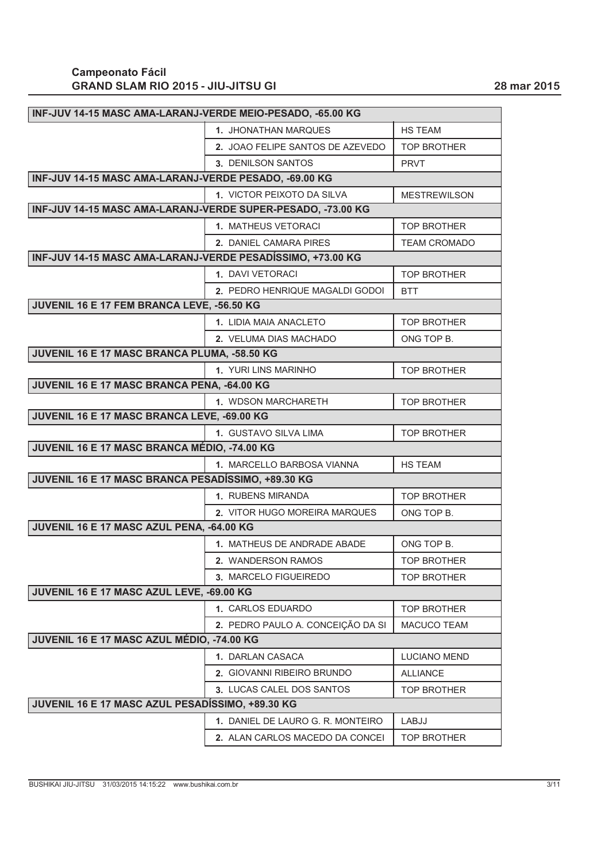| INF-JUV 14-15 MASC AMA-LARANJ-VERDE MEIO-PESADO, -65.00 KG  |                                   |                     |
|-------------------------------------------------------------|-----------------------------------|---------------------|
|                                                             | 1. JHONATHAN MARQUES              | HS TEAM             |
|                                                             | 2. JOAO FELIPE SANTOS DE AZEVEDO  | <b>TOP BROTHER</b>  |
|                                                             | 3. DENILSON SANTOS                | <b>PRVT</b>         |
| INF-JUV 14-15 MASC AMA-LARANJ-VERDE PESADO, -69.00 KG       |                                   |                     |
|                                                             | 1. VICTOR PEIXOTO DA SILVA        | <b>MESTREWILSON</b> |
| INF-JUV 14-15 MASC AMA-LARANJ-VERDE SUPER-PESADO, -73.00 KG |                                   |                     |
|                                                             | 1. MATHEUS VETORACI               | <b>TOP BROTHER</b>  |
|                                                             | 2. DANIEL CAMARA PIRES            | <b>TEAM CROMADO</b> |
| INF-JUV 14-15 MASC AMA-LARANJ-VERDE PESADÍSSIMO, +73.00 KG  |                                   |                     |
|                                                             | 1. DAVI VETORACI                  | <b>TOP BROTHER</b>  |
|                                                             | 2. PEDRO HENRIQUE MAGALDI GODOI   | <b>BTT</b>          |
| JUVENIL 16 E 17 FEM BRANCA LEVE, -56.50 KG                  |                                   |                     |
|                                                             | 1. LIDIA MAIA ANACLETO            | <b>TOP BROTHER</b>  |
|                                                             | 2. VELUMA DIAS MACHADO            | ONG TOP B.          |
| JUVENIL 16 E 17 MASC BRANCA PLUMA, -58.50 KG                |                                   |                     |
|                                                             | 1. YURI LINS MARINHO              | <b>TOP BROTHER</b>  |
| JUVENIL 16 E 17 MASC BRANCA PENA, -64.00 KG                 |                                   |                     |
|                                                             | 1. WDSON MARCHARETH               | <b>TOP BROTHER</b>  |
| JUVENIL 16 E 17 MASC BRANCA LEVE, -69.00 KG                 |                                   |                     |
|                                                             | 1. GUSTAVO SILVA LIMA             | <b>TOP BROTHER</b>  |
| JUVENIL 16 E 17 MASC BRANCA MÉDIO, -74.00 KG                |                                   |                     |
|                                                             | 1. MARCELLO BARBOSA VIANNA        | HS TEAM             |
| JUVENIL 16 E 17 MASC BRANCA PESADÍSSIMO, +89.30 KG          |                                   |                     |
|                                                             | 1. RUBENS MIRANDA                 | <b>TOP BROTHER</b>  |
|                                                             | 2. VITOR HUGO MOREIRA MARQUES     | ONG TOP B.          |
| JUVENIL 16 E 17 MASC AZUL PENA, -64.00 KG                   |                                   |                     |
|                                                             | 1. MATHEUS DE ANDRADE ABADE       | ONG TOP B.          |
|                                                             | 2. WANDERSON RAMOS                | <b>TOP BROTHER</b>  |
|                                                             | 3. MARCELO FIGUEIREDO             | <b>TOP BROTHER</b>  |
| JUVENIL 16 E 17 MASC AZUL LEVE, -69.00 KG                   |                                   |                     |
|                                                             | 1. CARLOS EDUARDO                 | <b>TOP BROTHER</b>  |
|                                                             | 2. PEDRO PAULO A. CONCEIÇÃO DA SI | MACUCO TEAM         |
| JUVENIL 16 E 17 MASC AZUL MÉDIO, -74.00 KG                  |                                   |                     |
|                                                             | 1. DARLAN CASACA                  | <b>LUCIANO MEND</b> |
|                                                             | 2. GIOVANNI RIBEIRO BRUNDO        | <b>ALLIANCE</b>     |
|                                                             | 3. LUCAS CALEL DOS SANTOS         | <b>TOP BROTHER</b>  |
| JUVENIL 16 E 17 MASC AZUL PESADÍSSIMO, +89.30 KG            |                                   |                     |
|                                                             | 1. DANIEL DE LAURO G. R. MONTEIRO | LABJJ               |
|                                                             | 2. ALAN CARLOS MACEDO DA CONCEI   | <b>TOP BROTHER</b>  |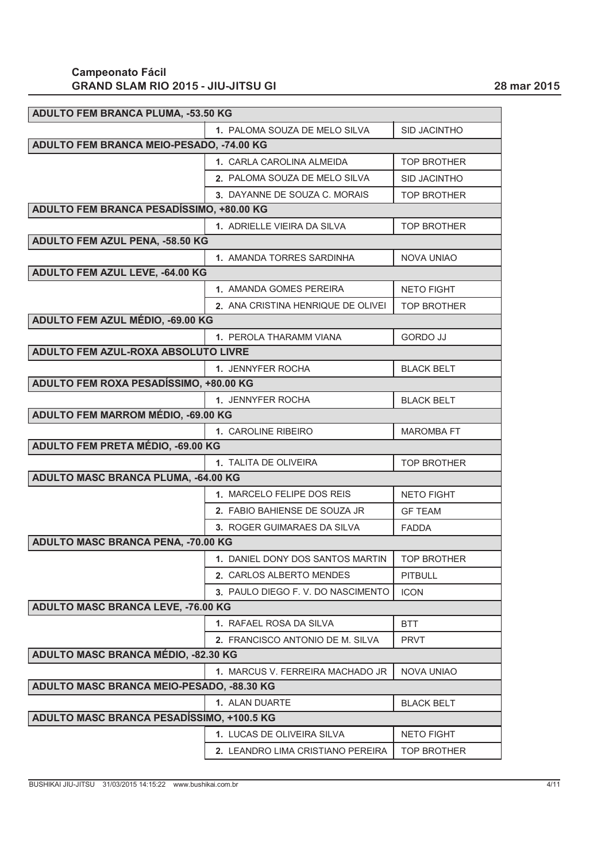| ADULTO FEM BRANCA PLUMA, -53.50 KG        |                                      |                     |
|-------------------------------------------|--------------------------------------|---------------------|
|                                           | 1. PALOMA SOUZA DE MELO SILVA        | <b>SID JACINTHO</b> |
| ADULTO FEM BRANCA MEIO-PESADO, -74.00 KG  |                                      |                     |
|                                           | 1. CARLA CAROLINA ALMEIDA            | <b>TOP BROTHER</b>  |
|                                           | <b>2. PALOMA SOUZA DE MELO SILVA</b> | <b>SID JACINTHO</b> |
|                                           | 3. DAYANNE DE SOUZA C. MORAIS        | <b>TOP BROTHER</b>  |
| ADULTO FEM BRANCA PESADÍSSIMO, +80.00 KG  |                                      |                     |
|                                           | 1. ADRIELLE VIEIRA DA SILVA          | <b>TOP BROTHER</b>  |
| ADULTO FEM AZUL PENA, -58.50 KG           |                                      |                     |
|                                           | 1. AMANDA TORRES SARDINHA            | <b>NOVA UNIAO</b>   |
| ADULTO FEM AZUL LEVE, -64.00 KG           |                                      |                     |
|                                           | 1. AMANDA GOMES PEREIRA              | <b>NETO FIGHT</b>   |
|                                           | 2. ANA CRISTINA HENRIQUE DE OLIVEI   | <b>TOP BROTHER</b>  |
| ADULTO FEM AZUL MÉDIO, -69.00 KG          |                                      |                     |
|                                           | <b>1. PEROLA THARAMM VIANA</b>       | <b>GORDO JJ</b>     |
| ADULTO FEM AZUL-ROXA ABSOLUTO LIVRE       |                                      |                     |
|                                           | 1. JENNYFER ROCHA                    | <b>BLACK BELT</b>   |
| ADULTO FEM ROXA PESADÍSSIMO, +80.00 KG    |                                      |                     |
|                                           | 1. JENNYFER ROCHA                    | <b>BLACK BELT</b>   |
| ADULTO FEM MARROM MÉDIO, -69.00 KG        |                                      |                     |
|                                           | 1. CAROLINE RIBEIRO                  | <b>MAROMBA FT</b>   |
| ADULTO FEM PRETA MÉDIO, -69.00 KG         |                                      |                     |
|                                           | 1. TALITA DE OLIVEIRA                | <b>TOP BROTHER</b>  |
| ADULTO MASC BRANCA PLUMA, -64.00 KG       |                                      |                     |
|                                           | 1. MARCELO FELIPE DOS REIS           | <b>NETO FIGHT</b>   |
|                                           | 2. FABIO BAHIENSE DE SOUZA JR        | <b>GF TEAM</b>      |
|                                           | 3. ROGER GUIMARAES DA SILVA          | <b>FADDA</b>        |
| ADULTO MASC BRANCA PENA, -70.00 KG        |                                      |                     |
|                                           | 1. DANIEL DONY DOS SANTOS MARTIN     | <b>TOP BROTHER</b>  |
|                                           | 2. CARLOS ALBERTO MENDES             | <b>PITBULL</b>      |
|                                           | 3. PAULO DIEGO F. V. DO NASCIMENTO   | <b>ICON</b>         |
| ADULTO MASC BRANCA LEVE, -76.00 KG        |                                      |                     |
|                                           | 1. RAFAEL ROSA DA SILVA              | <b>BTT</b>          |
|                                           | 2. FRANCISCO ANTONIO DE M. SILVA     | <b>PRVT</b>         |
| ADULTO MASC BRANCA MÉDIO, -82.30 KG       |                                      |                     |
|                                           | 1. MARCUS V. FERREIRA MACHADO JR     | <b>NOVA UNIAO</b>   |
| ADULTO MASC BRANCA MEIO-PESADO, -88.30 KG |                                      |                     |
|                                           | 1. ALAN DUARTE                       | <b>BLACK BELT</b>   |
| ADULTO MASC BRANCA PESADÍSSIMO, +100.5 KG |                                      |                     |
|                                           | 1. LUCAS DE OLIVEIRA SILVA           | <b>NETO FIGHT</b>   |
|                                           | 2. LEANDRO LIMA CRISTIANO PEREIRA    | <b>TOP BROTHER</b>  |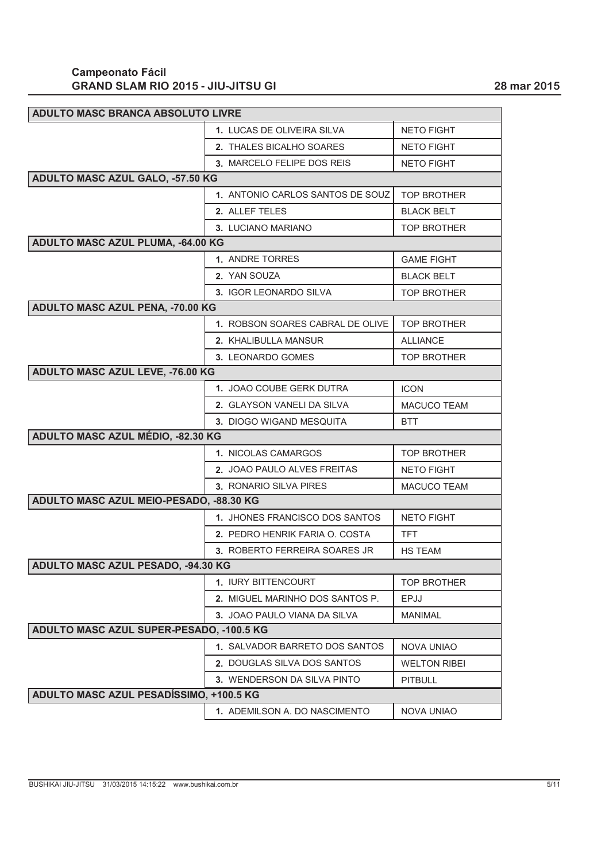| <b>ADULTO MASC BRANCA ABSOLUTO LIVRE</b> |                                     |                     |
|------------------------------------------|-------------------------------------|---------------------|
|                                          | 1. LUCAS DE OLIVEIRA SILVA          | <b>NETO FIGHT</b>   |
|                                          | 2. THALES BICALHO SOARES            | <b>NETO FIGHT</b>   |
|                                          | 3. MARCELO FELIPE DOS REIS          | <b>NETO FIGHT</b>   |
| <b>ADULTO MASC AZUL GALO, -57.50 KG</b>  |                                     |                     |
|                                          | 1. ANTONIO CARLOS SANTOS DE SOUZ    | <b>TOP BROTHER</b>  |
|                                          | 2. ALLEF TELES                      | <b>BLACK BELT</b>   |
|                                          | 3. LUCIANO MARIANO                  | <b>TOP BROTHER</b>  |
| ADULTO MASC AZUL PLUMA, -64.00 KG        |                                     |                     |
|                                          | 1. ANDRE TORRES                     | <b>GAME FIGHT</b>   |
|                                          | 2. YAN SOUZA                        | <b>BLACK BELT</b>   |
|                                          | 3. IGOR LEONARDO SILVA              | <b>TOP BROTHER</b>  |
| <b>ADULTO MASC AZUL PENA, -70.00 KG</b>  |                                     |                     |
|                                          | 1. ROBSON SOARES CABRAL DE OLIVE    | <b>TOP BROTHER</b>  |
|                                          | 2. KHALIBULLA MANSUR                | <b>ALLIANCE</b>     |
|                                          | 3. LEONARDO GOMES                   | <b>TOP BROTHER</b>  |
| <b>ADULTO MASC AZUL LEVE, -76.00 KG</b>  |                                     |                     |
|                                          | 1. JOAO COUBE GERK DUTRA            | <b>ICON</b>         |
|                                          | 2. GLAYSON VANELI DA SILVA          | <b>MACUCO TEAM</b>  |
|                                          | 3. DIOGO WIGAND MESQUITA            | <b>BTT</b>          |
| ADULTO MASC AZUL MÉDIO, -82.30 KG        |                                     |                     |
|                                          | 1. NICOLAS CAMARGOS                 | <b>TOP BROTHER</b>  |
|                                          | 2. JOAO PAULO ALVES FREITAS         | <b>NETO FIGHT</b>   |
|                                          | 3. RONARIO SILVA PIRES              | MACUCO TEAM         |
| ADULTO MASC AZUL MEIO-PESADO, -88.30 KG  |                                     |                     |
|                                          | 1. JHONES FRANCISCO DOS SANTOS      | <b>NETO FIGHT</b>   |
|                                          | 2. PEDRO HENRIK FARIA O. COSTA      | <b>TFT</b>          |
|                                          | 3. ROBERTO FERREIRA SOARES JR       | <b>HS TEAM</b>      |
| ADULTO MASC AZUL PESADO, -94.30 KG       |                                     |                     |
|                                          | 1. IURY BITTENCOURT                 | <b>TOP BROTHER</b>  |
|                                          | 2. MIGUEL MARINHO DOS SANTOS P.     | <b>EPJJ</b>         |
|                                          | <b>3. JOAO PAULO VIANA DA SILVA</b> | <b>MANIMAL</b>      |
| ADULTO MASC AZUL SUPER-PESADO, -100.5 KG |                                     |                     |
|                                          | 1. SALVADOR BARRETO DOS SANTOS      | <b>NOVA UNIAO</b>   |
|                                          | 2. DOUGLAS SILVA DOS SANTOS         | <b>WELTON RIBEI</b> |
| ADULTO MASC AZUL PESADÍSSIMO, +100.5 KG  | 3. WENDERSON DA SILVA PINTO         | <b>PITBULL</b>      |
|                                          |                                     |                     |
|                                          | 1. ADEMILSON A. DO NASCIMENTO       | <b>NOVA UNIAO</b>   |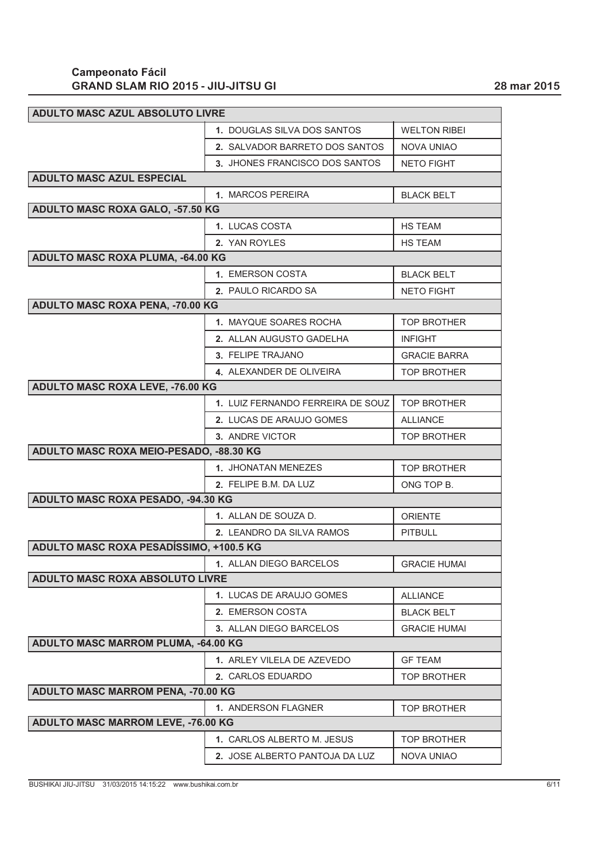| <b>ADULTO MASC AZUL ABSOLUTO LIVRE</b>     |                                   |                     |
|--------------------------------------------|-----------------------------------|---------------------|
|                                            | 1. DOUGLAS SILVA DOS SANTOS       | <b>WELTON RIBEI</b> |
|                                            | 2. SALVADOR BARRETO DOS SANTOS    | <b>NOVA UNIAO</b>   |
|                                            | 3. JHONES FRANCISCO DOS SANTOS    | <b>NETO FIGHT</b>   |
| <b>ADULTO MASC AZUL ESPECIAL</b>           |                                   |                     |
|                                            | 1. MARCOS PEREIRA                 | <b>BLACK BELT</b>   |
| ADULTO MASC ROXA GALO, -57.50 KG           |                                   |                     |
|                                            | 1. LUCAS COSTA                    | <b>HS TEAM</b>      |
|                                            | 2. YAN ROYLES                     | <b>HS TEAM</b>      |
| <b>ADULTO MASC ROXA PLUMA, -64.00 KG</b>   |                                   |                     |
|                                            | 1. EMERSON COSTA                  | <b>BLACK BELT</b>   |
|                                            | 2. PAULO RICARDO SA               | <b>NETO FIGHT</b>   |
| <b>ADULTO MASC ROXA PENA, -70.00 KG</b>    |                                   |                     |
|                                            | 1. MAYQUE SOARES ROCHA            | <b>TOP BROTHER</b>  |
|                                            | 2. ALLAN AUGUSTO GADELHA          | <b>INFIGHT</b>      |
|                                            | 3. FELIPE TRAJANO                 | <b>GRACIE BARRA</b> |
|                                            | 4. ALEXANDER DE OLIVEIRA          | <b>TOP BROTHER</b>  |
| <b>ADULTO MASC ROXA LEVE, -76.00 KG</b>    |                                   |                     |
|                                            | 1. LUIZ FERNANDO FERREIRA DE SOUZ | <b>TOP BROTHER</b>  |
|                                            | 2. LUCAS DE ARAUJO GOMES          | <b>ALLIANCE</b>     |
|                                            | 3. ANDRE VICTOR                   | <b>TOP BROTHER</b>  |
| ADULTO MASC ROXA MEIO-PESADO, -88.30 KG    |                                   |                     |
|                                            | 1. JHONATAN MENEZES               | <b>TOP BROTHER</b>  |
|                                            | 2. FELIPE B.M. DA LUZ             | ONG TOP B.          |
| ADULTO MASC ROXA PESADO, -94.30 KG         |                                   |                     |
|                                            | 1. ALLAN DE SOUZA D.              | <b>ORIENTE</b>      |
|                                            | 2. LEANDRO DA SILVA RAMOS         | <b>PITBULL</b>      |
| ADULTO MASC ROXA PESADÍSSIMO, +100.5 KG    |                                   |                     |
|                                            | 1. ALLAN DIEGO BARCELOS           | <b>GRACIE HUMAI</b> |
| ADULTO MASC ROXA ABSOLUTO LIVRE            |                                   |                     |
|                                            | 1. LUCAS DE ARAUJO GOMES          | <b>ALLIANCE</b>     |
|                                            | 2. EMERSON COSTA                  | <b>BLACK BELT</b>   |
|                                            | 3. ALLAN DIEGO BARCELOS           | <b>GRACIE HUMAI</b> |
| <b>ADULTO MASC MARROM PLUMA, -64.00 KG</b> |                                   |                     |
|                                            | 1. ARLEY VILELA DE AZEVEDO        | <b>GF TEAM</b>      |
|                                            | 2. CARLOS EDUARDO                 | <b>TOP BROTHER</b>  |
| ADULTO MASC MARROM PENA, -70.00 KG         |                                   |                     |
|                                            | 1. ANDERSON FLAGNER               | <b>TOP BROTHER</b>  |
| <b>ADULTO MASC MARROM LEVE, -76.00 KG</b>  |                                   |                     |
|                                            | 1. CARLOS ALBERTO M. JESUS        | <b>TOP BROTHER</b>  |
|                                            | 2. JOSE ALBERTO PANTOJA DA LUZ    | <b>NOVA UNIAO</b>   |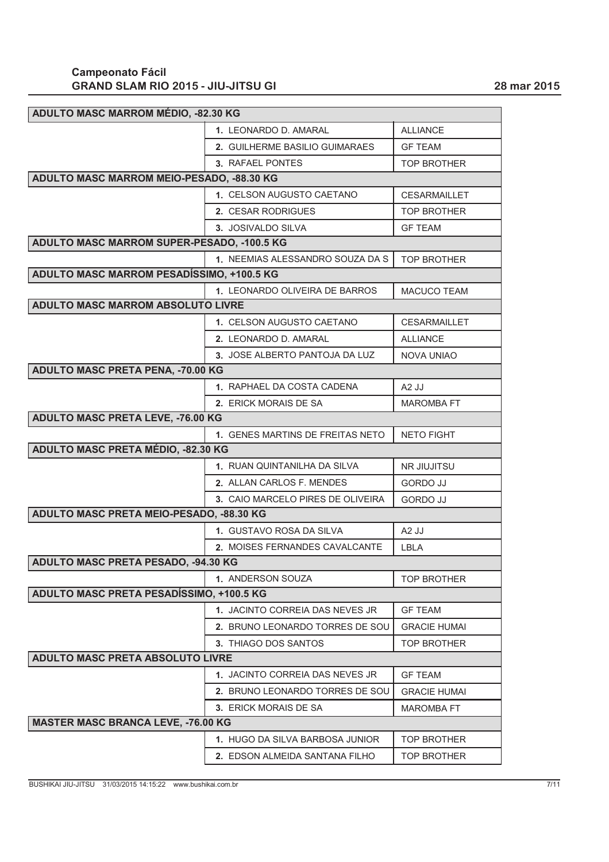| ADULTO MASC MARROM MÉDIO, -82.30 KG        |                                   |                     |
|--------------------------------------------|-----------------------------------|---------------------|
|                                            | 1. LEONARDO D. AMARAL             | <b>ALLIANCE</b>     |
|                                            | 2. GUILHERME BASILIO GUIMARAES    | <b>GF TEAM</b>      |
|                                            | 3. RAFAEL PONTES                  | <b>TOP BROTHER</b>  |
| ADULTO MASC MARROM MEIO-PESADO, -88.30 KG  |                                   |                     |
|                                            | 1. CELSON AUGUSTO CAETANO         | <b>CESARMAILLET</b> |
|                                            | 2. CESAR RODRIGUES                | <b>TOP BROTHER</b>  |
|                                            | 3. JOSIVALDO SILVA                | <b>GF TEAM</b>      |
| ADULTO MASC MARROM SUPER-PESADO, -100.5 KG |                                   |                     |
|                                            | 1. NEEMIAS ALESSANDRO SOUZA DA S  | <b>TOP BROTHER</b>  |
| ADULTO MASC MARROM PESADÍSSIMO, +100.5 KG  |                                   |                     |
|                                            | 1. LEONARDO OLIVEIRA DE BARROS    | <b>MACUCO TEAM</b>  |
| <b>ADULTO MASC MARROM ABSOLUTO LIVRE</b>   |                                   |                     |
|                                            | 1. CELSON AUGUSTO CAETANO         | <b>CESARMAILLET</b> |
|                                            | 2. LEONARDO D. AMARAL             | <b>ALLIANCE</b>     |
|                                            | 3. JOSE ALBERTO PANTOJA DA LUZ    | <b>NOVA UNIAO</b>   |
| <b>ADULTO MASC PRETA PENA, -70.00 KG</b>   |                                   |                     |
|                                            | 1. RAPHAEL DA COSTA CADENA        | $A2$ JJ             |
|                                            | 2. ERICK MORAIS DE SA             | <b>MAROMBA FT</b>   |
| ADULTO MASC PRETA LEVE, -76.00 KG          |                                   |                     |
|                                            | 1. GENES MARTINS DE FREITAS NETO  | <b>NETO FIGHT</b>   |
| ADULTO MASC PRETA MÉDIO, -82.30 KG         |                                   |                     |
|                                            | 1. RUAN QUINTANILHA DA SILVA      | <b>NR JIUJITSU</b>  |
|                                            | 2. ALLAN CARLOS F. MENDES         | <b>GORDO JJ</b>     |
|                                            | 3. CAIO MARCELO PIRES DE OLIVEIRA | <b>GORDO JJ</b>     |
| ADULTO MASC PRETA MEIO-PESADO, -88.30 KG   |                                   |                     |
|                                            | 1. GUSTAVO ROSA DA SILVA          | A <sub>2</sub> JJ   |
|                                            | 2. MOISES FERNANDES CAVALCANTE    | LBLA                |
| ADULTO MASC PRETA PESADO, -94.30 KG        |                                   |                     |
|                                            | 1. ANDERSON SOUZA                 | <b>TOP BROTHER</b>  |
| ADULTO MASC PRETA PESADÍSSIMO, +100.5 KG   |                                   |                     |
|                                            | 1. JACINTO CORREIA DAS NEVES JR   | <b>GF TEAM</b>      |
|                                            | 2. BRUNO LEONARDO TORRES DE SOU   | <b>GRACIE HUMAI</b> |
|                                            | 3. THIAGO DOS SANTOS              | <b>TOP BROTHER</b>  |
| ADULTO MASC PRETA ABSOLUTO LIVRE           |                                   |                     |
|                                            | 1. JACINTO CORREIA DAS NEVES JR   | <b>GF TEAM</b>      |
|                                            | 2. BRUNO LEONARDO TORRES DE SOU   | <b>GRACIE HUMAI</b> |
|                                            | 3. ERICK MORAIS DE SA             | <b>MAROMBA FT</b>   |
| <b>MASTER MASC BRANCA LEVE, -76.00 KG</b>  |                                   |                     |
|                                            | 1. HUGO DA SILVA BARBOSA JUNIOR   | <b>TOP BROTHER</b>  |
|                                            | 2. EDSON ALMEIDA SANTANA FILHO    | TOP BROTHER         |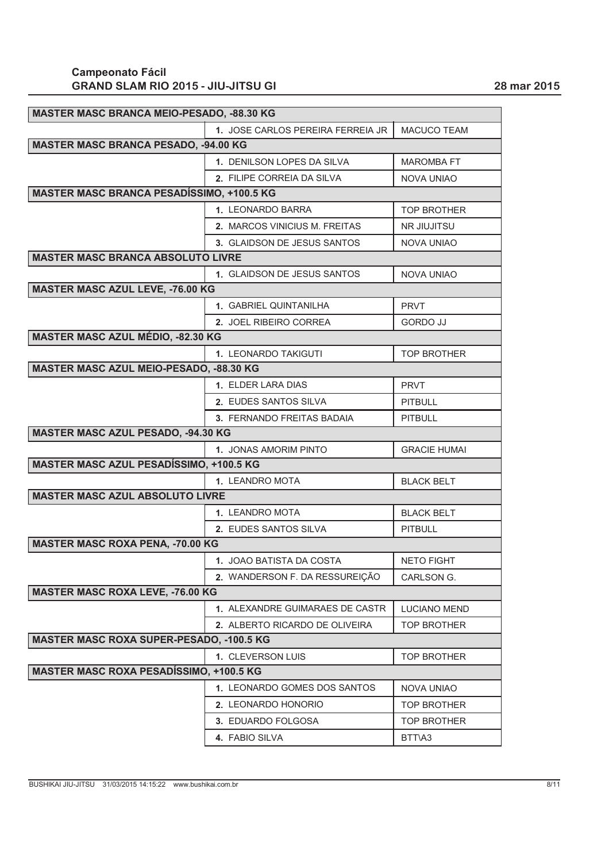| MASTER MASC BRANCA MEIO-PESADO, -88.30 KG        |                                        |                     |
|--------------------------------------------------|----------------------------------------|---------------------|
|                                                  | 1. JOSE CARLOS PEREIRA FERREIA JR      | MACUCO TEAM         |
| <b>MASTER MASC BRANCA PESADO, -94.00 KG</b>      |                                        |                     |
|                                                  | 1. DENILSON LOPES DA SILVA             | <b>MAROMBA FT</b>   |
|                                                  | 2. FILIPE CORREIA DA SILVA             | <b>NOVA UNIAO</b>   |
| <b>MASTER MASC BRANCA PESADÍSSIMO, +100.5 KG</b> |                                        |                     |
|                                                  | 1. LEONARDO BARRA                      | <b>TOP BROTHER</b>  |
|                                                  | 2. MARCOS VINICIUS M. FREITAS          | NR JIUJITSU         |
|                                                  | 3. GLAIDSON DE JESUS SANTOS            | <b>NOVA UNIAO</b>   |
| <b>MASTER MASC BRANCA ABSOLUTO LIVRE</b>         |                                        |                     |
|                                                  | 1. GLAIDSON DE JESUS SANTOS            | <b>NOVA UNIAO</b>   |
| <b>MASTER MASC AZUL LEVE, -76.00 KG</b>          |                                        |                     |
|                                                  | 1. GABRIEL QUINTANILHA                 | <b>PRVT</b>         |
|                                                  | 2. JOEL RIBEIRO CORREA                 | <b>GORDO JJ</b>     |
| <b>MASTER MASC AZUL MÉDIO, -82.30 KG</b>         |                                        |                     |
|                                                  | 1. LEONARDO TAKIGUTI                   | <b>TOP BROTHER</b>  |
| MASTER MASC AZUL MEIO-PESADO, -88.30 KG          |                                        |                     |
|                                                  | 1. ELDER LARA DIAS                     | <b>PRVT</b>         |
|                                                  | 2. EUDES SANTOS SILVA                  | <b>PITBULL</b>      |
|                                                  | 3. FERNANDO FREITAS BADAIA             | <b>PITBULL</b>      |
| MASTER MASC AZUL PESADO, -94.30 KG               |                                        |                     |
|                                                  | 1. JONAS AMORIM PINTO                  | <b>GRACIE HUMAI</b> |
|                                                  |                                        |                     |
| <b>MASTER MASC AZUL PESADÍSSIMO, +100.5 KG</b>   |                                        |                     |
|                                                  | 1. LEANDRO MOTA                        | <b>BLACK BELT</b>   |
| <b>MASTER MASC AZUL ABSOLUTO LIVRE</b>           |                                        |                     |
|                                                  | 1. LEANDRO MOTA                        | <b>BLACK BELT</b>   |
|                                                  | 2. EUDES SANTOS SILVA                  | <b>PITBULL</b>      |
| <b>MASTER MASC ROXA PENA, -70.00 KG</b>          |                                        |                     |
|                                                  | 1. JOAO BATISTA DA COSTA               | <b>NETO FIGHT</b>   |
|                                                  | 2. WANDERSON F. DA RESSUREIÇÃO         | CARLSON G.          |
| <b>MASTER MASC ROXA LEVE, -76.00 KG</b>          |                                        |                     |
|                                                  | <b>1. ALEXANDRE GUIMARAES DE CASTR</b> | <b>LUCIANO MEND</b> |
|                                                  | 2. ALBERTO RICARDO DE OLIVEIRA         | TOP BROTHER         |
| <b>MASTER MASC ROXA SUPER-PESADO, -100.5 KG</b>  |                                        |                     |
|                                                  | 1. CLEVERSON LUIS                      | <b>TOP BROTHER</b>  |
| <b>MASTER MASC ROXA PESADÍSSIMO, +100.5 KG</b>   |                                        |                     |
|                                                  | 1. LEONARDO GOMES DOS SANTOS           | <b>NOVA UNIAO</b>   |
|                                                  | 2. LEONARDO HONORIO                    | <b>TOP BROTHER</b>  |
|                                                  | 3. EDUARDO FOLGOSA                     | <b>TOP BROTHER</b>  |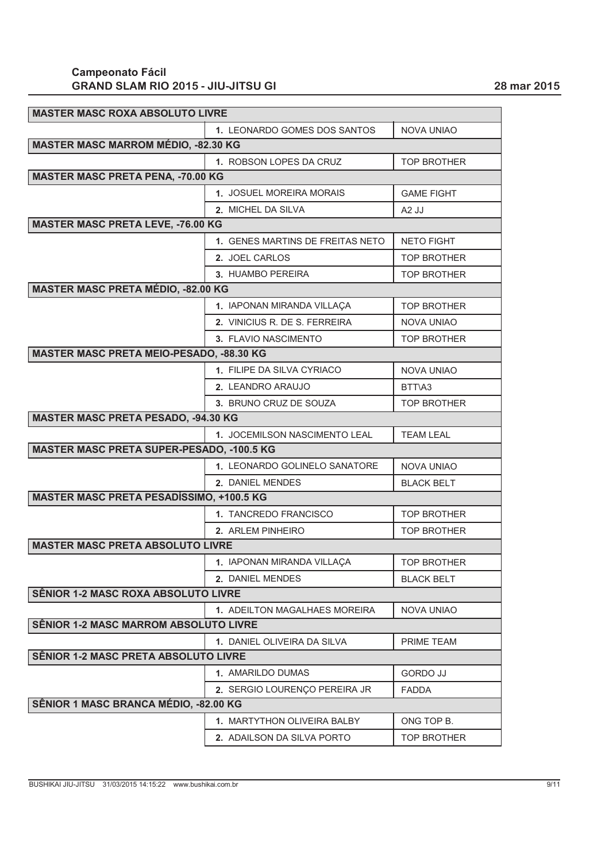| <b>MASTER MASC ROXA ABSOLUTO LIVRE</b>           |                                  |                    |
|--------------------------------------------------|----------------------------------|--------------------|
|                                                  | 1. LEONARDO GOMES DOS SANTOS     | <b>NOVA UNIAO</b>  |
| <b>MASTER MASC MARROM MÉDIO, -82.30 KG</b>       |                                  |                    |
|                                                  | 1. ROBSON LOPES DA CRUZ          | <b>TOP BROTHER</b> |
| <b>MASTER MASC PRETA PENA, -70.00 KG</b>         |                                  |                    |
|                                                  | 1. JOSUEL MOREIRA MORAIS         | <b>GAME FIGHT</b>  |
|                                                  | 2. MICHEL DA SILVA               | A <sub>2</sub> JJ  |
| <b>MASTER MASC PRETA LEVE, -76.00 KG</b>         |                                  |                    |
|                                                  | 1. GENES MARTINS DE FREITAS NETO | <b>NETO FIGHT</b>  |
|                                                  | 2. JOEL CARLOS                   | <b>TOP BROTHER</b> |
|                                                  | 3. HUAMBO PEREIRA                | <b>TOP BROTHER</b> |
| MASTER MASC PRETA MÉDIO, -82.00 KG               |                                  |                    |
|                                                  | 1. IAPONAN MIRANDA VILLAÇA       | <b>TOP BROTHER</b> |
|                                                  | 2. VINICIUS R. DE S. FERREIRA    | <b>NOVA UNIAO</b>  |
|                                                  | 3. FLAVIO NASCIMENTO             | <b>TOP BROTHER</b> |
| MASTER MASC PRETA MEIO-PESADO, -88.30 KG         |                                  |                    |
|                                                  | 1. FILIPE DA SILVA CYRIACO       | <b>NOVA UNIAO</b>  |
|                                                  | 2. LEANDRO ARAUJO                | BTT\A3             |
|                                                  | 3. BRUNO CRUZ DE SOUZA           | <b>TOP BROTHER</b> |
| <b>MASTER MASC PRETA PESADO, -94.30 KG</b>       |                                  |                    |
|                                                  | 1. JOCEMILSON NASCIMENTO LEAL    | <b>TEAM LEAL</b>   |
| <b>MASTER MASC PRETA SUPER-PESADO, -100.5 KG</b> |                                  |                    |
|                                                  | 1. LEONARDO GOLINELO SANATORE    | <b>NOVA UNIAO</b>  |
|                                                  | 2. DANIEL MENDES                 | <b>BLACK BELT</b>  |
| <b>MASTER MASC PRETA PESADÍSSIMO, +100.5 KG</b>  |                                  |                    |
|                                                  | 1. TANCREDO FRANCISCO            | <b>TOP BROTHER</b> |
|                                                  | 2. ARLEM PINHEIRO                | <b>TOP BROTHER</b> |
| <b>MASTER MASC PRETA ABSOLUTO LIVRE</b>          |                                  |                    |
|                                                  | 1. IAPONAN MIRANDA VILLAÇA       | <b>TOP BROTHER</b> |
|                                                  | 2. DANIEL MENDES                 | <b>BLACK BELT</b>  |
| <b>SÊNIOR 1-2 MASC ROXA ABSOLUTO LIVRE</b>       |                                  |                    |
|                                                  | 1. ADEILTON MAGALHAES MOREIRA    | <b>NOVA UNIAO</b>  |
| SÊNIOR 1-2 MASC MARROM ABSOLUTO LIVRE            |                                  |                    |
|                                                  | 1. DANIEL OLIVEIRA DA SILVA      | PRIME TEAM         |
| SÊNIOR 1-2 MASC PRETA ABSOLUTO LIVRE             |                                  |                    |
|                                                  | 1. AMARILDO DUMAS                | <b>GORDO JJ</b>    |
|                                                  | 2. SERGIO LOURENÇO PEREIRA JR    | <b>FADDA</b>       |
| SÊNIOR 1 MASC BRANCA MÉDIO, -82.00 KG            |                                  |                    |
|                                                  | 1. MARTYTHON OLIVEIRA BALBY      | ONG TOP B.         |
|                                                  | 2. ADAILSON DA SILVA PORTO       | TOP BROTHER        |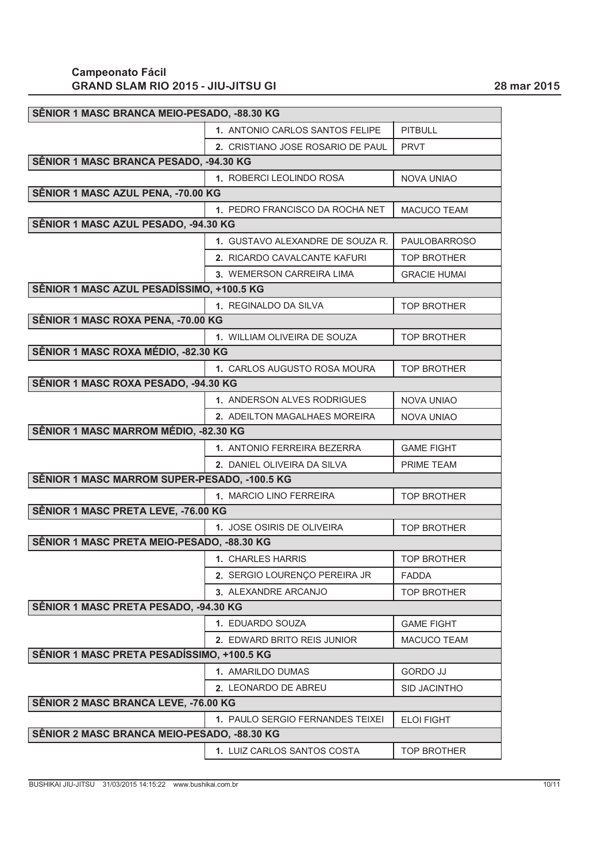| SËNIOR 1 MASC BRANCA MEIO-PESADO, -88.30 KG  |                                   |                     |
|----------------------------------------------|-----------------------------------|---------------------|
|                                              | 1. ANTONIO CARLOS SANTOS FELIPE   | <b>PITBULL</b>      |
|                                              | 2. CRISTIANO JOSE ROSARIO DE PAUL | <b>PRVT</b>         |
| SÊNIOR 1 MASC BRANCA PESADO, -94.30 KG       |                                   |                     |
|                                              | 1. ROBERCI LEOLINDO ROSA          | <b>NOVA UNIAO</b>   |
| SÊNIOR 1 MASC AZUL PENA, -70.00 KG           |                                   |                     |
|                                              | 1. PEDRO FRANCISCO DA ROCHA NET   | <b>MACUCO TEAM</b>  |
| SÊNIOR 1 MASC AZUL PESADO, -94.30 KG         |                                   |                     |
|                                              | 1. GUSTAVO ALEXANDRE DE SOUZA R.  | <b>PAULOBARROSO</b> |
|                                              | 2. RICARDO CAVALCANTE KAFURI      | <b>TOP BROTHER</b>  |
|                                              | 3. WEMERSON CARREIRA LIMA         | <b>GRACIE HUMAI</b> |
| SÊNIOR 1 MASC AZUL PESADÍSSIMO, +100.5 KG    |                                   |                     |
|                                              | 1. REGINALDO DA SILVA             | <b>TOP BROTHER</b>  |
| SÊNIOR 1 MASC ROXA PENA, -70.00 KG           |                                   |                     |
|                                              | 1. WILLIAM OLIVEIRA DE SOUZA      | <b>TOP BROTHER</b>  |
| SÊNIOR 1 MASC ROXA MÉDIO, -82.30 KG          |                                   |                     |
|                                              | 1. CARLOS AUGUSTO ROSA MOURA      | <b>TOP BROTHER</b>  |
| SÊNIOR 1 MASC ROXA PESADO, -94.30 KG         |                                   |                     |
|                                              | 1. ANDERSON ALVES RODRIGUES       | <b>NOVA UNIAO</b>   |
|                                              | 2. ADEILTON MAGALHAES MOREIRA     | <b>NOVA UNIAO</b>   |
| SÊNIOR 1 MASC MARROM MÉDIO, -82.30 KG        |                                   |                     |
|                                              | 1. ANTONIO FERREIRA BEZERRA       | <b>GAME FIGHT</b>   |
|                                              | 2. DANIEL OLIVEIRA DA SILVA       | PRIME TEAM          |
| SÊNIOR 1 MASC MARROM SUPER-PESADO, -100.5 KG |                                   |                     |
|                                              | 1. MARCIO LINO FERREIRA           | <b>TOP BROTHER</b>  |
| SÊNIOR 1 MASC PRETA LEVE, -76.00 KG          |                                   |                     |
|                                              | 1. JOSE OSIRIS DE OLIVEIRA        | <b>TOP BROTHER</b>  |
| SÊNIOR 1 MASC PRETA MEIO-PESADO, -88.30 KG   |                                   |                     |
|                                              | 1. CHARLES HARRIS                 | <b>TOP BROTHER</b>  |
|                                              | 2. SERGIO LOURENÇO PEREIRA JR     | <b>FADDA</b>        |
|                                              | 3. ALEXANDRE ARCANJO              | <b>TOP BROTHER</b>  |
| SÊNIOR 1 MASC PRETA PESADO, -94.30 KG        |                                   |                     |
|                                              | 1. EDUARDO SOUZA                  | <b>GAME FIGHT</b>   |
|                                              | 2. EDWARD BRITO REIS JUNIOR       | <b>MACUCO TEAM</b>  |
| SÊNIOR 1 MASC PRETA PESADÍSSIMO, +100.5 KG   |                                   |                     |
|                                              | 1. AMARILDO DUMAS                 | <b>GORDO JJ</b>     |
|                                              | 2. LEONARDO DE ABREU              | <b>SID JACINTHO</b> |
| SÊNIOR 2 MASC BRANCA LEVE, -76.00 KG         |                                   |                     |
|                                              | 1. PAULO SERGIO FERNANDES TEIXEI  | <b>ELOI FIGHT</b>   |
| SÊNIOR 2 MASC BRANCA MEIO-PESADO, -88.30 KG  |                                   |                     |
|                                              | 1. LUIZ CARLOS SANTOS COSTA       | <b>TOP BROTHER</b>  |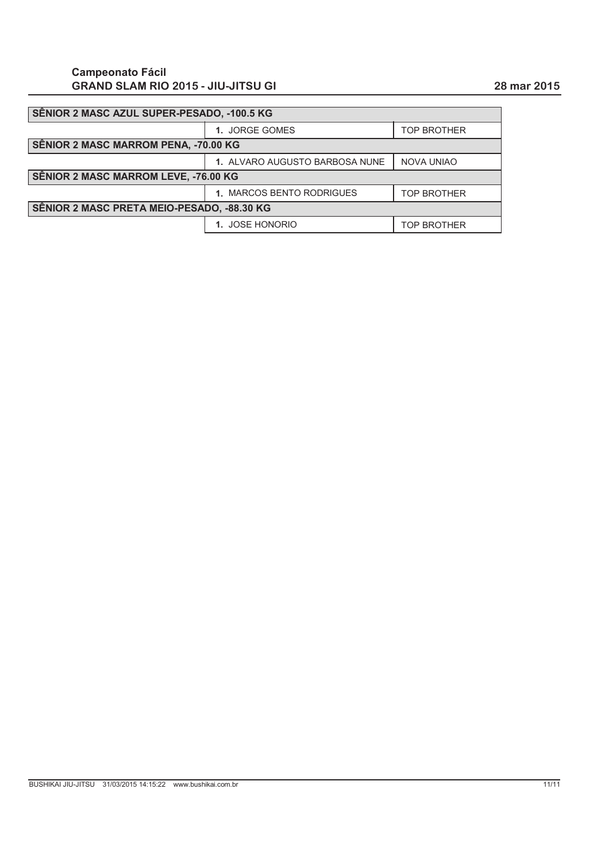| SÊNIOR 2 MASC AZUL SUPER-PESADO, -100.5 KG |                                |                    |
|--------------------------------------------|--------------------------------|--------------------|
|                                            | 1. JORGE GOMES                 | <b>TOP BROTHER</b> |
| SÊNIOR 2 MASC MARROM PENA, -70.00 KG       |                                |                    |
|                                            | 1. ALVARO AUGUSTO BARBOSA NUNE | <b>NOVA UNIAO</b>  |
| SÊNIOR 2 MASC MARROM LEVE, -76.00 KG       |                                |                    |
|                                            | 1. MARCOS BENTO RODRIGUES      | <b>TOP BROTHER</b> |
| SÊNIOR 2 MASC PRETA MEIO-PESADO, -88.30 KG |                                |                    |
|                                            | 1. JOSE HONORIO                | <b>TOP BROTHER</b> |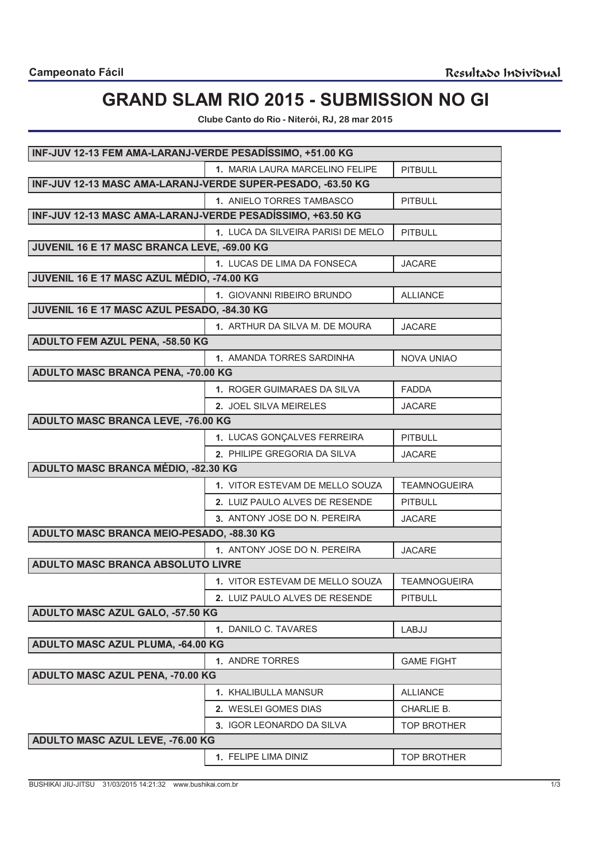# **GRAND SLAM RIO 2015 - SUBMISSION NO GI**

**Clube Canto do Rio - Niterói, RJ, 28 mar 2015**

| INF-JUV 12-13 FEM AMA-LARANJ-VERDE PESADÍSSIMO, +51.00 KG   |                                       |                     |
|-------------------------------------------------------------|---------------------------------------|---------------------|
|                                                             | 1. MARIA LAURA MARCELINO FELIPE       | <b>PITBULL</b>      |
| INF-JUV 12-13 MASC AMA-LARANJ-VERDE SUPER-PESADO, -63.50 KG |                                       |                     |
|                                                             | 1. ANIELO TORRES TAMBASCO             | <b>PITBULL</b>      |
| INF-JUV 12-13 MASC AMA-LARANJ-VERDE PESADÍSSIMO, +63.50 KG  |                                       |                     |
|                                                             | 1. LUCA DA SILVEIRA PARISI DE MELO    | <b>PITBULL</b>      |
| JUVENIL 16 E 17 MASC BRANCA LEVE, -69.00 KG                 |                                       |                     |
|                                                             | 1. LUCAS DE LIMA DA FONSECA           | <b>JACARE</b>       |
| JUVENIL 16 E 17 MASC AZUL MÉDIO, -74.00 KG                  |                                       |                     |
|                                                             | 1. GIOVANNI RIBEIRO BRUNDO            | <b>ALLIANCE</b>     |
| JUVENIL 16 E 17 MASC AZUL PESADO, -84.30 KG                 |                                       |                     |
|                                                             | 1. ARTHUR DA SILVA M. DE MOURA        | <b>JACARE</b>       |
| ADULTO FEM AZUL PENA, -58.50 KG                             |                                       |                     |
|                                                             | 1. AMANDA TORRES SARDINHA             | <b>NOVA UNIAO</b>   |
| ADULTO MASC BRANCA PENA, -70.00 KG                          |                                       |                     |
|                                                             | 1. ROGER GUIMARAES DA SILVA           | <b>FADDA</b>        |
|                                                             | 2. JOEL SILVA MEIRELES                | <b>JACARE</b>       |
| ADULTO MASC BRANCA LEVE, -76.00 KG                          |                                       |                     |
|                                                             | 1. LUCAS GONÇALVES FERREIRA           | <b>PITBULL</b>      |
|                                                             | 2. PHILIPE GREGORIA DA SILVA          | <b>JACARE</b>       |
| ADULTO MASC BRANCA MÉDIO, -82.30 KG                         |                                       |                     |
|                                                             | 1. VITOR ESTEVAM DE MELLO SOUZA       | <b>TEAMNOGUEIRA</b> |
|                                                             | 2. LUIZ PAULO ALVES DE RESENDE        | <b>PITBULL</b>      |
|                                                             | 3. ANTONY JOSE DO N. PEREIRA          | <b>JACARE</b>       |
| ADULTO MASC BRANCA MEIO-PESADO, -88.30 KG                   |                                       |                     |
|                                                             | 1. ANTONY JOSE DO N. PEREIRA          | <b>JACARE</b>       |
| ADULTO MASC BRANCA ABSOLUTO LIVRE                           |                                       |                     |
|                                                             | 1. VITOR ESTEVAM DE MELLO SOUZA       | <b>TEAMNOGUEIRA</b> |
|                                                             | <b>2. LUIZ PAULO ALVES DE RESENDE</b> | <b>PITBULL</b>      |
| ADULTO MASC AZUL GALO, -57.50 KG                            |                                       |                     |
|                                                             | 1. DANILO C. TAVARES                  | LABJJ               |
| ADULTO MASC AZUL PLUMA, -64.00 KG                           |                                       |                     |
|                                                             | 1. ANDRE TORRES                       | <b>GAME FIGHT</b>   |
| ADULTO MASC AZUL PENA, -70.00 KG                            |                                       |                     |
|                                                             | <b>1. KHALIBULLA MANSUR</b>           | <b>ALLIANCE</b>     |
|                                                             | 2. WESLEI GOMES DIAS                  | CHARLIE B.          |
|                                                             | 3. IGOR LEONARDO DA SILVA             | <b>TOP BROTHER</b>  |
| ADULTO MASC AZUL LEVE, -76.00 KG                            |                                       |                     |
|                                                             | 1. FELIPE LIMA DINIZ                  | <b>TOP BROTHER</b>  |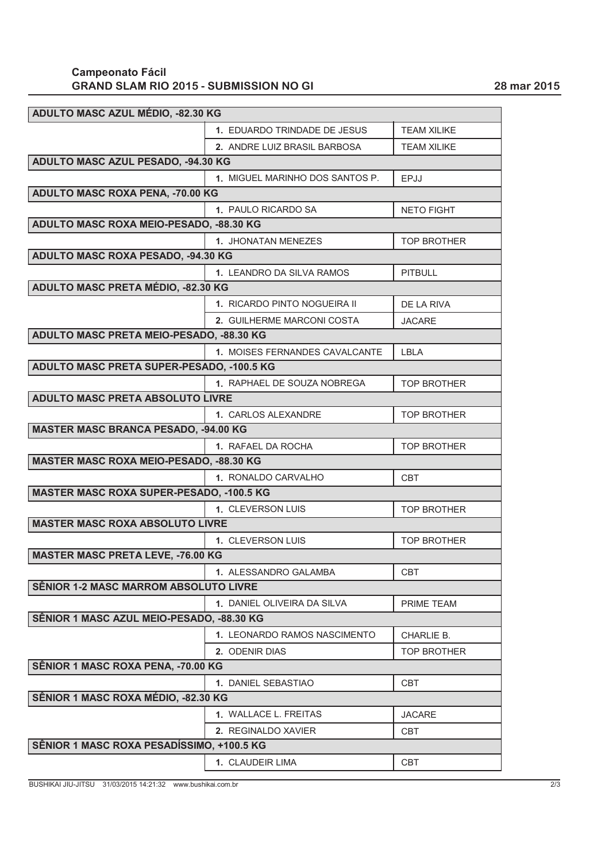### **GRAND SLAM RIO 2015 - SUBMISSION NO GI 28 mar 2015 Campeonato Fácil**

| ADULTO MASC AZUL MÉDIO, -82.30 KG               |                                 |                    |  |
|-------------------------------------------------|---------------------------------|--------------------|--|
|                                                 | 1. EDUARDO TRINDADE DE JESUS    | <b>TEAM XILIKE</b> |  |
|                                                 | 2. ANDRE LUIZ BRASIL BARBOSA    | <b>TEAM XILIKE</b> |  |
| ADULTO MASC AZUL PESADO, -94.30 KG              |                                 |                    |  |
|                                                 | 1. MIGUEL MARINHO DOS SANTOS P. | EPJJ               |  |
| ADULTO MASC ROXA PENA, -70.00 KG                |                                 |                    |  |
|                                                 | 1. PAULO RICARDO SA             | <b>NETO FIGHT</b>  |  |
| ADULTO MASC ROXA MEIO-PESADO, -88.30 KG         |                                 |                    |  |
|                                                 | 1. JHONATAN MENEZES             | <b>TOP BROTHER</b> |  |
| ADULTO MASC ROXA PESADO, -94.30 KG              |                                 |                    |  |
|                                                 | 1. LEANDRO DA SILVA RAMOS       | <b>PITBULL</b>     |  |
| ADULTO MASC PRETA MÉDIO, -82.30 KG              |                                 |                    |  |
|                                                 | 1. RICARDO PINTO NOGUEIRA II    | DE LA RIVA         |  |
|                                                 | 2. GUILHERME MARCONI COSTA      | <b>JACARE</b>      |  |
| ADULTO MASC PRETA MEIO-PESADO, -88.30 KG        |                                 |                    |  |
|                                                 | 1. MOISES FERNANDES CAVALCANTE  | <b>IBIA</b>        |  |
| ADULTO MASC PRETA SUPER-PESADO, -100.5 KG       |                                 |                    |  |
|                                                 | 1. RAPHAEL DE SOUZA NOBREGA     | <b>TOP BROTHER</b> |  |
| ADULTO MASC PRETA ABSOLUTO LIVRE                |                                 |                    |  |
|                                                 | 1. CARLOS ALEXANDRE             | <b>TOP BROTHER</b> |  |
| <b>MASTER MASC BRANCA PESADO, -94.00 KG</b>     |                                 |                    |  |
|                                                 | 1. RAFAEL DA ROCHA              | <b>TOP BROTHER</b> |  |
| <b>MASTER MASC ROXA MEIO-PESADO, -88.30 KG</b>  |                                 |                    |  |
|                                                 | 1. RONALDO CARVALHO             | <b>CBT</b>         |  |
| <b>MASTER MASC ROXA SUPER-PESADO, -100.5 KG</b> |                                 |                    |  |
|                                                 | 1. CLEVERSON LUIS               | <b>TOP BROTHER</b> |  |
| <b>MASTER MASC ROXA ABSOLUTO LIVRE</b>          |                                 |                    |  |
|                                                 | <b>1. CLEVERSON LUIS</b>        | <b>TOP BROTHER</b> |  |
| <b>MASTER MASC PRETA LEVE, -76.00 KG</b>        |                                 |                    |  |
|                                                 | 1. ALESSANDRO GALAMBA           | <b>CBT</b>         |  |
| <b>SÊNIOR 1-2 MASC MARROM ABSOLUTO LIVRE</b>    |                                 |                    |  |
|                                                 | 1. DANIEL OLIVEIRA DA SILVA     | PRIME TEAM         |  |
| SÊNIOR 1 MASC AZUL MEIO-PESADO, -88.30 KG       |                                 |                    |  |
|                                                 | 1. LEONARDO RAMOS NASCIMENTO    | CHARLIE B.         |  |
|                                                 | 2. ODENIR DIAS                  | <b>TOP BROTHER</b> |  |
| SÊNIOR 1 MASC ROXA PENA, -70.00 KG              |                                 |                    |  |
|                                                 | 1. DANIEL SEBASTIAO             | CBT                |  |
| SÊNIOR 1 MASC ROXA MÉDIO, -82.30 KG             |                                 |                    |  |
|                                                 | <b>1. WALLACE L. FREITAS</b>    | <b>JACARE</b>      |  |
|                                                 | 2. REGINALDO XAVIER             | CBT                |  |
| SÊNIOR 1 MASC ROXA PESADÍSSIMO, +100.5 KG       |                                 |                    |  |
|                                                 | 1. CLAUDEIR LIMA                | <b>CBT</b>         |  |

BUSHIKAI JIU-JITSU 31/03/2015 14:21:32 www.bushikai.com.br 2/3